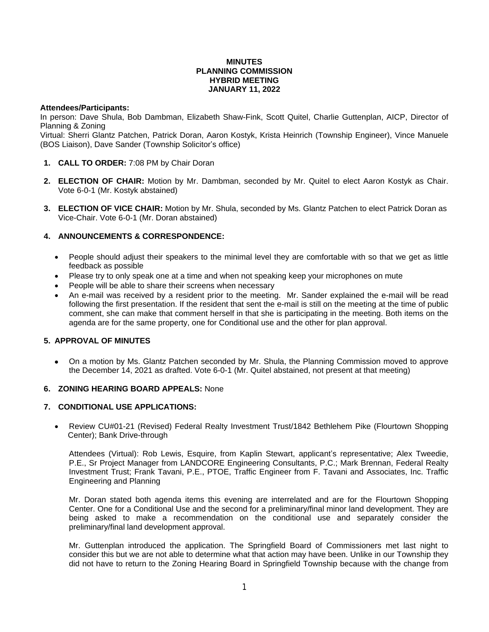## **MINUTES PLANNING COMMISSION HYBRID MEETING JANUARY 11, 2022**

## **Attendees/Participants:**

In person: Dave Shula, Bob Dambman, Elizabeth Shaw-Fink, Scott Quitel, Charlie Guttenplan, AICP, Director of Planning & Zoning

Virtual: Sherri Glantz Patchen, Patrick Doran, Aaron Kostyk, Krista Heinrich (Township Engineer), Vince Manuele (BOS Liaison), Dave Sander (Township Solicitor's office)

- **1. CALL TO ORDER:** 7:08 PM by Chair Doran
- **2. ELECTION OF CHAIR:** Motion by Mr. Dambman, seconded by Mr. Quitel to elect Aaron Kostyk as Chair. Vote 6-0-1 (Mr. Kostyk abstained)
- **3. ELECTION OF VICE CHAIR:** Motion by Mr. Shula, seconded by Ms. Glantz Patchen to elect Patrick Doran as Vice-Chair. Vote 6-0-1 (Mr. Doran abstained)

# **4. ANNOUNCEMENTS & CORRESPONDENCE:**

- People should adjust their speakers to the minimal level they are comfortable with so that we get as little feedback as possible
- Please try to only speak one at a time and when not speaking keep your microphones on mute
- People will be able to share their screens when necessary
- An e-mail was received by a resident prior to the meeting. Mr. Sander explained the e-mail will be read following the first presentation. If the resident that sent the e-mail is still on the meeting at the time of public comment, she can make that comment herself in that she is participating in the meeting. Both items on the agenda are for the same property, one for Conditional use and the other for plan approval.

## **5. APPROVAL OF MINUTES**

 On a motion by Ms. Glantz Patchen seconded by Mr. Shula, the Planning Commission moved to approve the December 14, 2021 as drafted. Vote 6-0-1 (Mr. Quitel abstained, not present at that meeting)

## **6. ZONING HEARING BOARD APPEALS:** None

## **7. CONDITIONAL USE APPLICATIONS:**

 Review CU#01-21 (Revised) Federal Realty Investment Trust/1842 Bethlehem Pike (Flourtown Shopping Center); Bank Drive-through

Attendees (Virtual): Rob Lewis, Esquire, from Kaplin Stewart, applicant's representative; Alex Tweedie, P.E., Sr Project Manager from LANDCORE Engineering Consultants, P.C.; Mark Brennan, Federal Realty Investment Trust; Frank Tavani, P.E., PTOE, Traffic Engineer from F. Tavani and Associates, Inc. Traffic Engineering and Planning

Mr. Doran stated both agenda items this evening are interrelated and are for the Flourtown Shopping Center. One for a Conditional Use and the second for a preliminary/final minor land development. They are being asked to make a recommendation on the conditional use and separately consider the preliminary/final land development approval.

Mr. Guttenplan introduced the application. The Springfield Board of Commissioners met last night to consider this but we are not able to determine what that action may have been. Unlike in our Township they did not have to return to the Zoning Hearing Board in Springfield Township because with the change from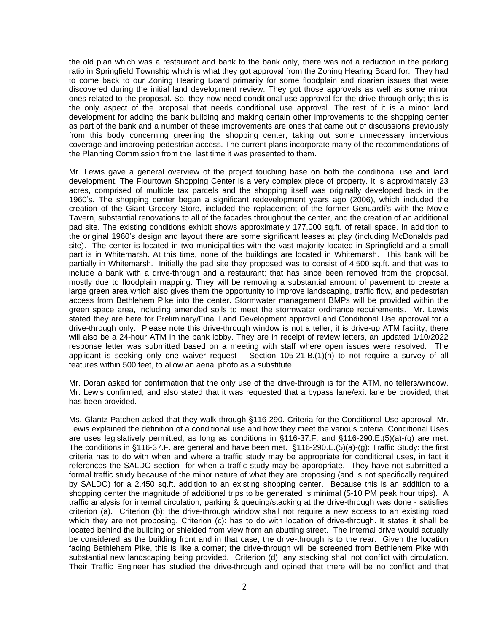the old plan which was a restaurant and bank to the bank only, there was not a reduction in the parking ratio in Springfield Township which is what they got approval from the Zoning Hearing Board for. They had to come back to our Zoning Hearing Board primarily for some floodplain and riparian issues that were discovered during the initial land development review. They got those approvals as well as some minor ones related to the proposal. So, they now need conditional use approval for the drive-through only; this is the only aspect of the proposal that needs conditional use approval. The rest of it is a minor land development for adding the bank building and making certain other improvements to the shopping center as part of the bank and a number of these improvements are ones that came out of discussions previously from this body concerning greening the shopping center, taking out some unnecessary impervious coverage and improving pedestrian access. The current plans incorporate many of the recommendations of the Planning Commission from the last time it was presented to them.

Mr. Lewis gave a general overview of the project touching base on both the conditional use and land development. The Flourtown Shopping Center is a very complex piece of property. It is approximately 23 acres, comprised of multiple tax parcels and the shopping itself was originally developed back in the 1960's. The shopping center began a significant redevelopment years ago (2006), which included the creation of the Giant Grocery Store, included the replacement of the former Genuardi's with the Movie Tavern, substantial renovations to all of the facades throughout the center, and the creation of an additional pad site. The existing conditions exhibit shows approximately 177,000 sq.ft. of retail space. In addition to the original 1960's design and layout there are some significant leases at play (including McDonalds pad site). The center is located in two municipalities with the vast majority located in Springfield and a small part is in Whitemarsh. At this time, none of the buildings are located in Whitemarsh. This bank will be partially in Whitemarsh. Initially the pad site they proposed was to consist of 4,500 sq.ft. and that was to include a bank with a drive-through and a restaurant; that has since been removed from the proposal, mostly due to floodplain mapping. They will be removing a substantial amount of pavement to create a large green area which also gives them the opportunity to improve landscaping, traffic flow, and pedestrian access from Bethlehem Pike into the center. Stormwater management BMPs will be provided within the green space area, including amended soils to meet the stormwater ordinance requirements. Mr. Lewis stated they are here for Preliminary/Final Land Development approval and Conditional Use approval for a drive-through only. Please note this drive-through window is not a teller, it is drive-up ATM facility; there will also be a 24-hour ATM in the bank lobby. They are in receipt of review letters, an updated 1/10/2022 response letter was submitted based on a meeting with staff where open issues were resolved. The applicant is seeking only one waiver request – Section 105-21.B.(1)(n) to not require a survey of all features within 500 feet, to allow an aerial photo as a substitute.

Mr. Doran asked for confirmation that the only use of the drive-through is for the ATM, no tellers/window. Mr. Lewis confirmed, and also stated that it was requested that a bypass lane/exit lane be provided; that has been provided.

Ms. Glantz Patchen asked that they walk through §116-290. Criteria for the Conditional Use approval. Mr. Lewis explained the definition of a conditional use and how they meet the various criteria. Conditional Uses are uses legislatively permitted, as long as conditions in §116-37.F. and §116-290.E.(5)(a)-(g) are met. The conditions in §116-37.F. are general and have been met. §116-290.E.(5)(a)-(g): Traffic Study: the first criteria has to do with when and where a traffic study may be appropriate for conditional uses, in fact it references the SALDO section for when a traffic study may be appropriate. They have not submitted a formal traffic study because of the minor nature of what they are proposing (and is not specifically required by SALDO) for a 2,450 sq.ft. addition to an existing shopping center. Because this is an addition to a shopping center the magnitude of additional trips to be generated is minimal (5-10 PM peak hour trips). A traffic analysis for internal circulation, parking & queuing/stacking at the drive-through was done - satisfies criterion (a). Criterion (b): the drive-through window shall not require a new access to an existing road which they are not proposing. Criterion (c): has to do with location of drive-through. It states it shall be located behind the building or shielded from view from an abutting street. The internal drive would actually be considered as the building front and in that case, the drive-through is to the rear. Given the location facing Bethlehem Pike, this is like a corner; the drive-through will be screened from Bethlehem Pike with substantial new landscaping being provided. Criterion (d): any stacking shall not conflict with circulation. Their Traffic Engineer has studied the drive-through and opined that there will be no conflict and that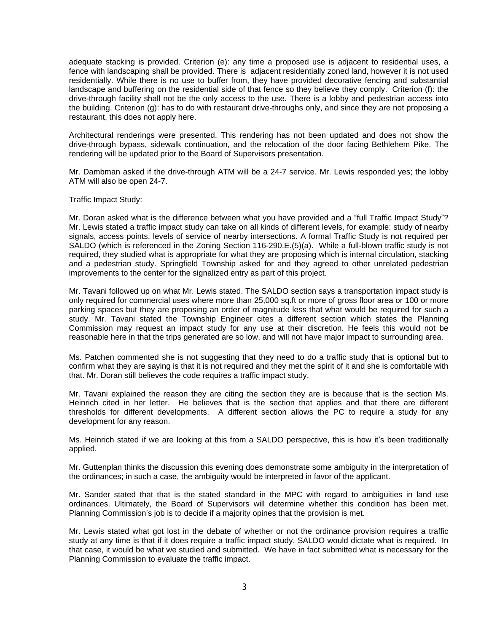adequate stacking is provided. Criterion (e): any time a proposed use is adjacent to residential uses, a fence with landscaping shall be provided. There is adjacent residentially zoned land, however it is not used residentially. While there is no use to buffer from, they have provided decorative fencing and substantial landscape and buffering on the residential side of that fence so they believe they comply. Criterion (f): the drive-through facility shall not be the only access to the use. There is a lobby and pedestrian access into the building. Criterion (g): has to do with restaurant drive-throughs only, and since they are not proposing a restaurant, this does not apply here.

Architectural renderings were presented. This rendering has not been updated and does not show the drive-through bypass, sidewalk continuation, and the relocation of the door facing Bethlehem Pike. The rendering will be updated prior to the Board of Supervisors presentation.

Mr. Dambman asked if the drive-through ATM will be a 24-7 service. Mr. Lewis responded yes; the lobby ATM will also be open 24-7.

Traffic Impact Study:

Mr. Doran asked what is the difference between what you have provided and a "full Traffic Impact Study"? Mr. Lewis stated a traffic impact study can take on all kinds of different levels, for example: study of nearby signals, access points, levels of service of nearby intersections. A formal Traffic Study is not required per SALDO (which is referenced in the Zoning Section 116-290.E.(5)(a). While a full-blown traffic study is not required, they studied what is appropriate for what they are proposing which is internal circulation, stacking and a pedestrian study. Springfield Township asked for and they agreed to other unrelated pedestrian improvements to the center for the signalized entry as part of this project.

Mr. Tavani followed up on what Mr. Lewis stated. The SALDO section says a transportation impact study is only required for commercial uses where more than 25,000 sq.ft or more of gross floor area or 100 or more parking spaces but they are proposing an order of magnitude less that what would be required for such a study. Mr. Tavani stated the Township Engineer cites a different section which states the Planning Commission may request an impact study for any use at their discretion. He feels this would not be reasonable here in that the trips generated are so low, and will not have major impact to surrounding area.

Ms. Patchen commented she is not suggesting that they need to do a traffic study that is optional but to confirm what they are saying is that it is not required and they met the spirit of it and she is comfortable with that. Mr. Doran still believes the code requires a traffic impact study.

Mr. Tavani explained the reason they are citing the section they are is because that is the section Ms. Heinrich cited in her letter. He believes that is the section that applies and that there are different thresholds for different developments. A different section allows the PC to require a study for any development for any reason.

Ms. Heinrich stated if we are looking at this from a SALDO perspective, this is how it's been traditionally applied.

Mr. Guttenplan thinks the discussion this evening does demonstrate some ambiguity in the interpretation of the ordinances; in such a case, the ambiguity would be interpreted in favor of the applicant.

Mr. Sander stated that that is the stated standard in the MPC with regard to ambiguities in land use ordinances. Ultimately, the Board of Supervisors will determine whether this condition has been met. Planning Commission's job is to decide if a majority opines that the provision is met.

Mr. Lewis stated what got lost in the debate of whether or not the ordinance provision requires a traffic study at any time is that if it does require a traffic impact study, SALDO would dictate what is required. In that case, it would be what we studied and submitted. We have in fact submitted what is necessary for the Planning Commission to evaluate the traffic impact.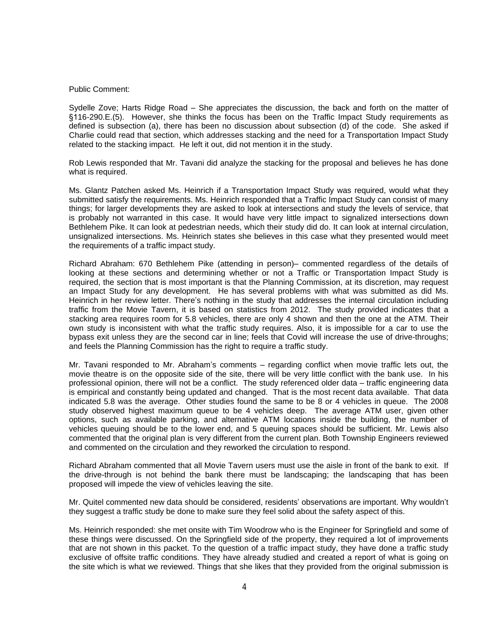#### Public Comment:

Sydelle Zove; Harts Ridge Road – She appreciates the discussion, the back and forth on the matter of §116-290.E.(5). However, she thinks the focus has been on the Traffic Impact Study requirements as defined is subsection (a), there has been no discussion about subsection (d) of the code. She asked if Charlie could read that section, which addresses stacking and the need for a Transportation Impact Study related to the stacking impact. He left it out, did not mention it in the study.

Rob Lewis responded that Mr. Tavani did analyze the stacking for the proposal and believes he has done what is required.

Ms. Glantz Patchen asked Ms. Heinrich if a Transportation Impact Study was required, would what they submitted satisfy the requirements. Ms. Heinrich responded that a Traffic Impact Study can consist of many things; for larger developments they are asked to look at intersections and study the levels of service, that is probably not warranted in this case. It would have very little impact to signalized intersections down Bethlehem Pike. It can look at pedestrian needs, which their study did do. It can look at internal circulation, unsignalized intersections. Ms. Heinrich states she believes in this case what they presented would meet the requirements of a traffic impact study.

Richard Abraham: 670 Bethlehem Pike (attending in person)– commented regardless of the details of looking at these sections and determining whether or not a Traffic or Transportation Impact Study is required, the section that is most important is that the Planning Commission, at its discretion, may request an Impact Study for any development. He has several problems with what was submitted as did Ms. Heinrich in her review letter. There's nothing in the study that addresses the internal circulation including traffic from the Movie Tavern, it is based on statistics from 2012. The study provided indicates that a stacking area requires room for 5.8 vehicles, there are only 4 shown and then the one at the ATM. Their own study is inconsistent with what the traffic study requires. Also, it is impossible for a car to use the bypass exit unless they are the second car in line; feels that Covid will increase the use of drive-throughs; and feels the Planning Commission has the right to require a traffic study.

Mr. Tavani responded to Mr. Abraham's comments – regarding conflict when movie traffic lets out, the movie theatre is on the opposite side of the site, there will be very little conflict with the bank use. In his professional opinion, there will not be a conflict. The study referenced older data – traffic engineering data is empirical and constantly being updated and changed. That is the most recent data available. That data indicated 5.8 was the average. Other studies found the same to be 8 or 4 vehicles in queue. The 2008 study observed highest maximum queue to be 4 vehicles deep. The average ATM user, given other options, such as available parking, and alternative ATM locations inside the building, the number of vehicles queuing should be to the lower end, and 5 queuing spaces should be sufficient. Mr. Lewis also commented that the original plan is very different from the current plan. Both Township Engineers reviewed and commented on the circulation and they reworked the circulation to respond.

Richard Abraham commented that all Movie Tavern users must use the aisle in front of the bank to exit. If the drive-through is not behind the bank there must be landscaping; the landscaping that has been proposed will impede the view of vehicles leaving the site.

Mr. Quitel commented new data should be considered, residents' observations are important. Why wouldn't they suggest a traffic study be done to make sure they feel solid about the safety aspect of this.

Ms. Heinrich responded: she met onsite with Tim Woodrow who is the Engineer for Springfield and some of these things were discussed. On the Springfield side of the property, they required a lot of improvements that are not shown in this packet. To the question of a traffic impact study, they have done a traffic study exclusive of offsite traffic conditions. They have already studied and created a report of what is going on the site which is what we reviewed. Things that she likes that they provided from the original submission is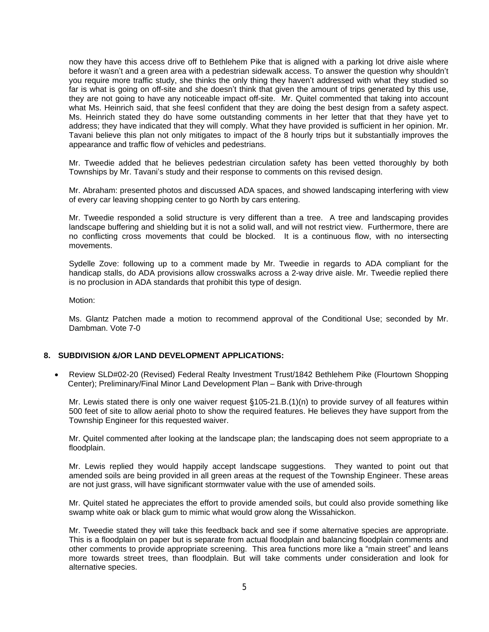now they have this access drive off to Bethlehem Pike that is aligned with a parking lot drive aisle where before it wasn't and a green area with a pedestrian sidewalk access. To answer the question why shouldn't you require more traffic study, she thinks the only thing they haven't addressed with what they studied so far is what is going on off-site and she doesn't think that given the amount of trips generated by this use, they are not going to have any noticeable impact off-site. Mr. Quitel commented that taking into account what Ms. Heinrich said, that she feesl confident that they are doing the best design from a safety aspect. Ms. Heinrich stated they do have some outstanding comments in her letter that that they have yet to address; they have indicated that they will comply. What they have provided is sufficient in her opinion. Mr. Tavani believe this plan not only mitigates to impact of the 8 hourly trips but it substantially improves the appearance and traffic flow of vehicles and pedestrians.

Mr. Tweedie added that he believes pedestrian circulation safety has been vetted thoroughly by both Townships by Mr. Tavani's study and their response to comments on this revised design.

Mr. Abraham: presented photos and discussed ADA spaces, and showed landscaping interfering with view of every car leaving shopping center to go North by cars entering.

Mr. Tweedie responded a solid structure is very different than a tree. A tree and landscaping provides landscape buffering and shielding but it is not a solid wall, and will not restrict view. Furthermore, there are no conflicting cross movements that could be blocked. It is a continuous flow, with no intersecting movements.

Sydelle Zove: following up to a comment made by Mr. Tweedie in regards to ADA compliant for the handicap stalls, do ADA provisions allow crosswalks across a 2-way drive aisle. Mr. Tweedie replied there is no proclusion in ADA standards that prohibit this type of design.

Motion:

Ms. Glantz Patchen made a motion to recommend approval of the Conditional Use; seconded by Mr. Dambman. Vote 7-0

# **8. SUBDIVISION &/OR LAND DEVELOPMENT APPLICATIONS:**

 Review SLD#02-20 (Revised) Federal Realty Investment Trust/1842 Bethlehem Pike (Flourtown Shopping Center); Preliminary/Final Minor Land Development Plan – Bank with Drive-through

Mr. Lewis stated there is only one waiver request §105-21.B.(1)(n) to provide survey of all features within 500 feet of site to allow aerial photo to show the required features. He believes they have support from the Township Engineer for this requested waiver.

Mr. Quitel commented after looking at the landscape plan; the landscaping does not seem appropriate to a floodplain.

Mr. Lewis replied they would happily accept landscape suggestions. They wanted to point out that amended soils are being provided in all green areas at the request of the Township Engineer. These areas are not just grass, will have significant stormwater value with the use of amended soils.

Mr. Quitel stated he appreciates the effort to provide amended soils, but could also provide something like swamp white oak or black gum to mimic what would grow along the Wissahickon.

Mr. Tweedie stated they will take this feedback back and see if some alternative species are appropriate. This is a floodplain on paper but is separate from actual floodplain and balancing floodplain comments and other comments to provide appropriate screening. This area functions more like a "main street" and leans more towards street trees, than floodplain. But will take comments under consideration and look for alternative species.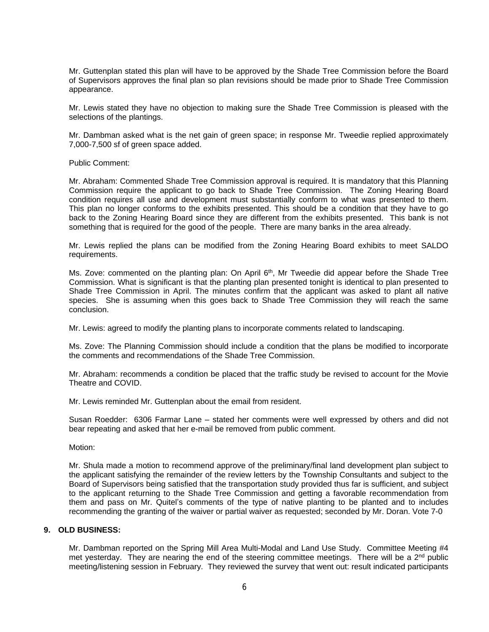Mr. Guttenplan stated this plan will have to be approved by the Shade Tree Commission before the Board of Supervisors approves the final plan so plan revisions should be made prior to Shade Tree Commission appearance.

Mr. Lewis stated they have no objection to making sure the Shade Tree Commission is pleased with the selections of the plantings.

Mr. Dambman asked what is the net gain of green space; in response Mr. Tweedie replied approximately 7,000-7,500 sf of green space added.

Public Comment:

Mr. Abraham: Commented Shade Tree Commission approval is required. It is mandatory that this Planning Commission require the applicant to go back to Shade Tree Commission. The Zoning Hearing Board condition requires all use and development must substantially conform to what was presented to them. This plan no longer conforms to the exhibits presented. This should be a condition that they have to go back to the Zoning Hearing Board since they are different from the exhibits presented. This bank is not something that is required for the good of the people. There are many banks in the area already.

Mr. Lewis replied the plans can be modified from the Zoning Hearing Board exhibits to meet SALDO requirements.

Ms. Zove: commented on the planting plan: On April 6<sup>th</sup>, Mr Tweedie did appear before the Shade Tree Commission. What is significant is that the planting plan presented tonight is identical to plan presented to Shade Tree Commission in April. The minutes confirm that the applicant was asked to plant all native species. She is assuming when this goes back to Shade Tree Commission they will reach the same conclusion.

Mr. Lewis: agreed to modify the planting plans to incorporate comments related to landscaping.

Ms. Zove: The Planning Commission should include a condition that the plans be modified to incorporate the comments and recommendations of the Shade Tree Commission.

Mr. Abraham: recommends a condition be placed that the traffic study be revised to account for the Movie Theatre and COVID.

Mr. Lewis reminded Mr. Guttenplan about the email from resident.

Susan Roedder: 6306 Farmar Lane – stated her comments were well expressed by others and did not bear repeating and asked that her e-mail be removed from public comment.

Motion:

Mr. Shula made a motion to recommend approve of the preliminary/final land development plan subject to the applicant satisfying the remainder of the review letters by the Township Consultants and subject to the Board of Supervisors being satisfied that the transportation study provided thus far is sufficient, and subject to the applicant returning to the Shade Tree Commission and getting a favorable recommendation from them and pass on Mr. Quitel's comments of the type of native planting to be planted and to includes recommending the granting of the waiver or partial waiver as requested; seconded by Mr. Doran. Vote 7-0

#### **9. OLD BUSINESS:**

Mr. Dambman reported on the Spring Mill Area Multi-Modal and Land Use Study. Committee Meeting #4 met yesterday. They are nearing the end of the steering committee meetings. There will be a 2<sup>nd</sup> public meeting/listening session in February. They reviewed the survey that went out: result indicated participants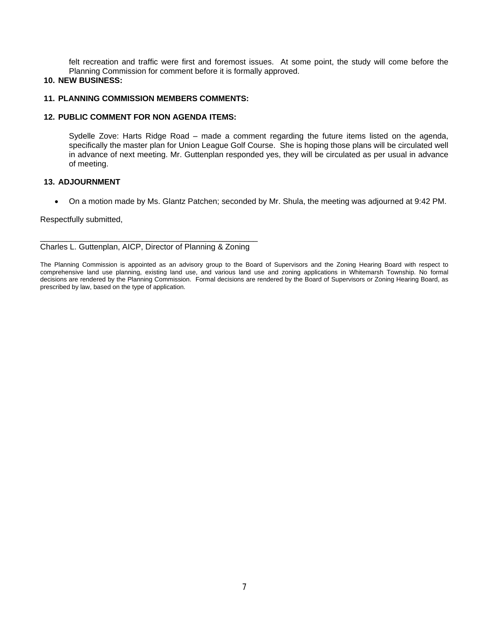felt recreation and traffic were first and foremost issues. At some point, the study will come before the Planning Commission for comment before it is formally approved.

# **10. NEW BUSINESS:**

## **11. PLANNING COMMISSION MEMBERS COMMENTS:**

### **12. PUBLIC COMMENT FOR NON AGENDA ITEMS:**

Sydelle Zove: Harts Ridge Road – made a comment regarding the future items listed on the agenda, specifically the master plan for Union League Golf Course. She is hoping those plans will be circulated well in advance of next meeting. Mr. Guttenplan responded yes, they will be circulated as per usual in advance of meeting.

## **13. ADJOURNMENT**

On a motion made by Ms. Glantz Patchen; seconded by Mr. Shula, the meeting was adjourned at 9:42 PM.

#### Respectfully submitted,

\_\_\_\_\_\_\_\_\_\_\_\_\_\_\_\_\_\_\_\_\_\_\_\_\_\_\_\_\_\_\_\_\_\_\_\_\_\_\_\_\_\_\_\_\_\_\_\_\_ Charles L. Guttenplan, AICP, Director of Planning & Zoning

The Planning Commission is appointed as an advisory group to the Board of Supervisors and the Zoning Hearing Board with respect to comprehensive land use planning, existing land use, and various land use and zoning applications in Whitemarsh Township. No formal decisions are rendered by the Planning Commission. Formal decisions are rendered by the Board of Supervisors or Zoning Hearing Board, as prescribed by law, based on the type of application.